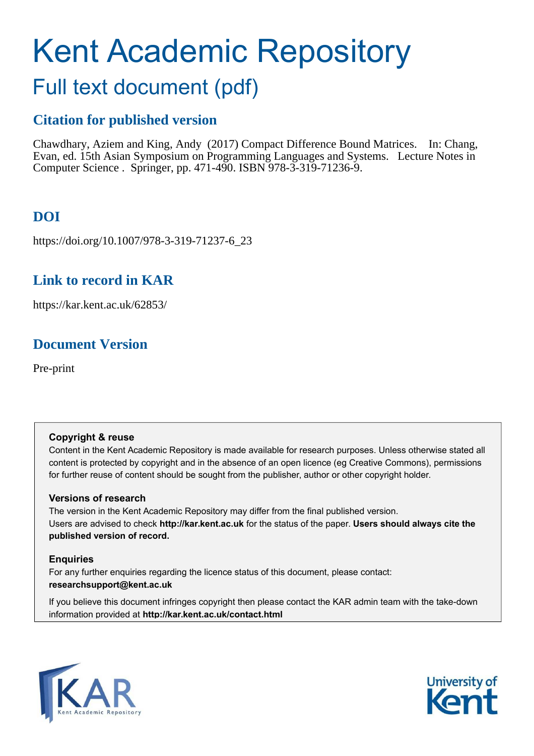# Kent Academic Repository

## Full text document (pdf)

## **Citation for published version**

Chawdhary, Aziem and King, Andy (2017) Compact Difference Bound Matrices. In: Chang, Evan, ed. 15th Asian Symposium on Programming Languages and Systems. Lecture Notes in Computer Science . Springer, pp. 471-490. ISBN 978-3-319-71236-9.

## **DOI**

https://doi.org/10.1007/978-3-319-71237-6\_23

### **Link to record in KAR**

https://kar.kent.ac.uk/62853/

## **Document Version**

Pre-print

#### **Copyright & reuse**

Content in the Kent Academic Repository is made available for research purposes. Unless otherwise stated all content is protected by copyright and in the absence of an open licence (eg Creative Commons), permissions for further reuse of content should be sought from the publisher, author or other copyright holder.

#### **Versions of research**

The version in the Kent Academic Repository may differ from the final published version. Users are advised to check **http://kar.kent.ac.uk** for the status of the paper. **Users should always cite the published version of record.**

#### **Enquiries**

For any further enquiries regarding the licence status of this document, please contact: **researchsupport@kent.ac.uk**

If you believe this document infringes copyright then please contact the KAR admin team with the take-down information provided at **http://kar.kent.ac.uk/contact.html**



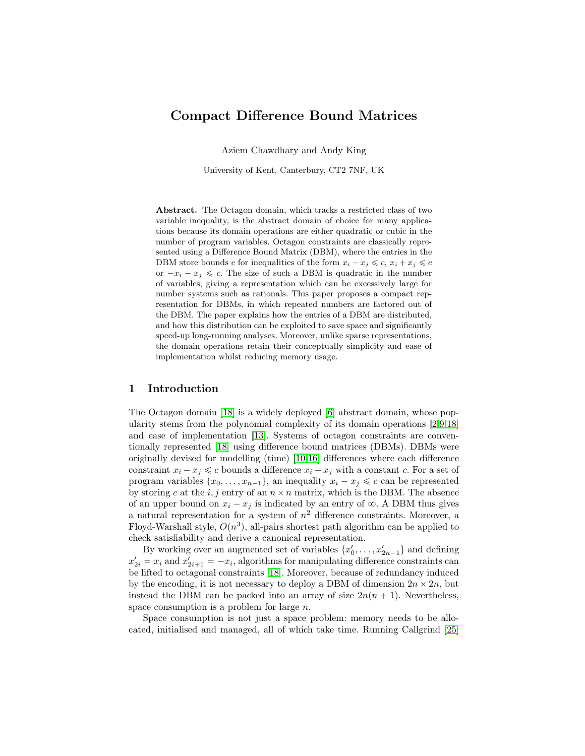#### Compact Difference Bound Matrices

Aziem Chawdhary and Andy King

University of Kent, Canterbury, CT2 7NF, UK

Abstract. The Octagon domain, which tracks a restricted class of two variable inequality, is the abstract domain of choice for many applications because its domain operations are either quadratic or cubic in the number of program variables. Octagon constraints are classically represented using a Difference Bound Matrix (DBM), where the entries in the DBM store bounds c for inequalities of the form  $x_i - x_j \leq c$ ,  $x_i + x_j \leq c$ or  $-x_i - x_j \leq c$ . The size of such a DBM is quadratic in the number of variables, giving a representation which can be excessively large for number systems such as rationals. This paper proposes a compact representation for DBMs, in which repeated numbers are factored out of the DBM. The paper explains how the entries of a DBM are distributed, and how this distribution can be exploited to save space and significantly speed-up long-running analyses. Moreover, unlike sparse representations, the domain operations retain their conceptually simplicity and ease of implementation whilst reducing memory usage.

#### 1 Introduction

The Octagon domain [\[18\]](#page-18-0) is a widely deployed [\[6\]](#page-18-1) abstract domain, whose popularity stems from the polynomial complexity of its domain operations [\[2](#page-17-0)[,9,](#page-18-2)[18\]](#page-18-0) and ease of implementation [\[13\]](#page-18-3). Systems of octagon constraints are conventionally represented [\[18\]](#page-18-0) using difference bound matrices (DBMs). DBMs were originally devised for modelling (time) [\[10,](#page-18-4)[16\]](#page-18-5) differences where each difference constraint  $x_i - x_j \leq c$  bounds a difference  $x_i - x_j$  with a constant c. For a set of program variables  $\{x_0, \ldots, x_{n-1}\}$ , an inequality  $x_i - x_j \leq c$  can be represented by storing c at the i, j entry of an  $n \times n$  matrix, which is the DBM. The absence of an upper bound on  $x_i - x_j$  is indicated by an entry of  $\infty$ . A DBM thus gives a natural representation for a system of  $n^2$  difference constraints. Moreover, a Floyd-Warshall style,  $O(n^3)$ , all-pairs shortest path algorithm can be applied to check satisfiability and derive a canonical representation.

By working over an augmented set of variables  $\{x'_0, \ldots, x'_{2n-1}\}$  and defining  $x'_{2i} = x_i$  and  $x'_{2i+1} = -x_i$ , algorithms for manipulating difference constraints can be lifted to octagonal constraints [\[18\]](#page-18-0). Moreover, because of redundancy induced by the encoding, it is not necessary to deploy a DBM of dimension  $2n \times 2n$ , but instead the DBM can be packed into an array of size  $2n(n + 1)$ . Nevertheless, space consumption is a problem for large n.

Space consumption is not just a space problem: memory needs to be allocated, initialised and managed, all of which take time. Running Callgrind [\[25\]](#page-18-6)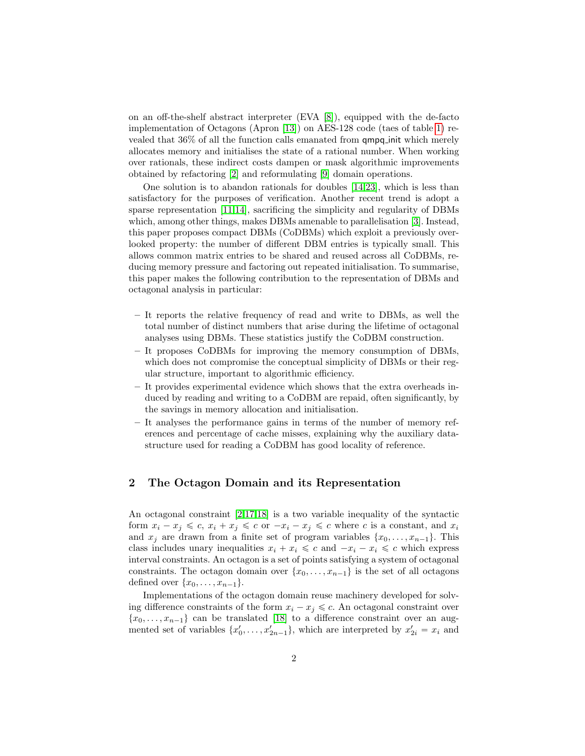<span id="page-2-0"></span>on an off-the-shelf abstract interpreter (EVA [\[8\]](#page-18-7)), equipped with the de-facto implementation of Octagons (Apron [\[13\]](#page-18-3)) on AES-128 code (taes of table [1\)](#page-10-0) revealed that 36% of all the function calls emanated from qmpq init which merely allocates memory and initialises the state of a rational number. When working over rationals, these indirect costs dampen or mask algorithmic improvements obtained by refactoring [\[2\]](#page-17-0) and reformulating [\[9\]](#page-18-2) domain operations.

One solution is to abandon rationals for doubles [\[14](#page-18-8)[,23\]](#page-18-9), which is less than satisfactory for the purposes of verification. Another recent trend is adopt a sparse representation [\[11](#page-18-10)[,14\]](#page-18-8), sacrificing the simplicity and regularity of DBMs which, among other things, makes DBMs amenable to parallelisation [\[3\]](#page-17-1). Instead, this paper proposes compact DBMs (CoDBMs) which exploit a previously overlooked property: the number of different DBM entries is typically small. This allows common matrix entries to be shared and reused across all CoDBMs, reducing memory pressure and factoring out repeated initialisation. To summarise, this paper makes the following contribution to the representation of DBMs and octagonal analysis in particular:

- It reports the relative frequency of read and write to DBMs, as well the total number of distinct numbers that arise during the lifetime of octagonal analyses using DBMs. These statistics justify the CoDBM construction.
- It proposes CoDBMs for improving the memory consumption of DBMs, which does not compromise the conceptual simplicity of DBMs or their regular structure, important to algorithmic efficiency.
- It provides experimental evidence which shows that the extra overheads induced by reading and writing to a CoDBM are repaid, often significantly, by the savings in memory allocation and initialisation.
- It analyses the performance gains in terms of the number of memory references and percentage of cache misses, explaining why the auxiliary datastructure used for reading a CoDBM has good locality of reference.

#### 2 The Octagon Domain and its Representation

An octagonal constraint [\[2,](#page-17-0)[17](#page-18-11)[,18\]](#page-18-0) is a two variable inequality of the syntactic form  $x_i - x_j \leq c$ ,  $x_i + x_j \leq c$  or  $-x_i - x_j \leq c$  where c is a constant, and  $x_i$ and  $x_j$  are drawn from a finite set of program variables  $\{x_0, \ldots, x_{n-1}\}$ . This class includes unary inequalities  $x_i + x_i \leq c$  and  $-x_i - x_i \leq c$  which express interval constraints. An octagon is a set of points satisfying a system of octagonal constraints. The octagon domain over  $\{x_0, \ldots, x_{n-1}\}\$ is the set of all octagons defined over  $\{x_0, \ldots, x_{n-1}\}.$ 

Implementations of the octagon domain reuse machinery developed for solving difference constraints of the form  $x_i - x_j \leq c$ . An octagonal constraint over  $\{x_0, \ldots, x_{n-1}\}\)$  can be translated [\[18\]](#page-18-0) to a difference constraint over an augmented set of variables  $\{x'_0, \ldots, x'_{2n-1}\}$ , which are interpreted by  $x'_{2i} = x_i$  and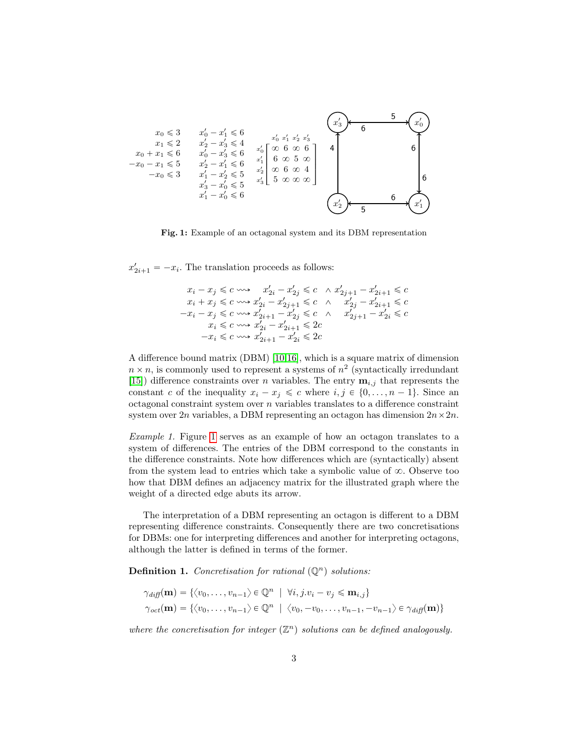<span id="page-3-0"></span>

Fig. 1: Example of an octagonal system and its DBM representation

 $x'_{2i+1} = -x_i$ . The translation proceeds as follows:

$$
\begin{aligned} x_i-x_j &\leqslant c\,\,\textrm{and}\,\, x'_{2i}-x'_{2j} \leqslant c\,\, \land\, x'_{2j+1}-x'_{2i+1} \leqslant c \\ x_i+x_j &\leqslant c\,\,\textrm{and}\,\, x'_{2i}-x'_{2j+1} \leqslant c\,\, \land\,\, x'_{2j}-x'_{2i+1} \leqslant c \\ -x_i-x_j &\leqslant c\,\,\textrm{and}\,\, x'_{2i+1}-x'_{2j} \leqslant c\,\, \land\,\, x'_{2j+1}-x'_{2i} \leqslant c \\ x_i &\leqslant c\,\,\textrm{and}\,\, x'_{2i}-x'_{2i+1} \leqslant 2c \\ -x_i &\leqslant c\,\,\textrm{and}\,\, x'_{2i+1}-x'_{2i} \leqslant 2c \end{aligned}
$$

A difference bound matrix (DBM) [\[10](#page-18-4)[,16\]](#page-18-5), which is a square matrix of dimension  $n \times n$ , is commonly used to represent a systems of  $n^2$  (syntactically irredundant [\[15\]](#page-18-12)) difference constraints over *n* variables. The entry  $\mathbf{m}_{i,j}$  that represents the constant c of the inequality  $x_i - x_j \leq c$  where  $i, j \in \{0, ..., n - 1\}$ . Since an octagonal constraint system over  $n$  variables translates to a difference constraint system over  $2n$  variables, a DBM representing an octagon has dimension  $2n \times 2n$ .

Example 1. Figure [1](#page-2-0) serves as an example of how an octagon translates to a system of differences. The entries of the DBM correspond to the constants in the difference constraints. Note how differences which are (syntactically) absent from the system lead to entries which take a symbolic value of  $\infty$ . Observe too how that DBM defines an adjacency matrix for the illustrated graph where the weight of a directed edge abuts its arrow.

The interpretation of a DBM representing an octagon is different to a DBM representing difference constraints. Consequently there are two concretisations for DBMs: one for interpreting differences and another for interpreting octagons, although the latter is defined in terms of the former.

**Definition 1.** Concretisation for rational  $(\mathbb{Q}^n)$  solutions:

$$
\gamma_{diff}(\mathbf{m}) = \{ \langle v_0, \dots, v_{n-1} \rangle \in \mathbb{Q}^n \mid \forall i, j.v_i - v_j \leq \mathbf{m}_{i,j} \}
$$
  

$$
\gamma_{oct}(\mathbf{m}) = \{ \langle v_0, \dots, v_{n-1} \rangle \in \mathbb{Q}^n \mid \langle v_0, -v_0, \dots, v_{n-1}, -v_{n-1} \rangle \in \gamma_{diff}(\mathbf{m}) \}
$$

where the concretisation for integer  $(\mathbb{Z}^n)$  solutions can be defined analogously.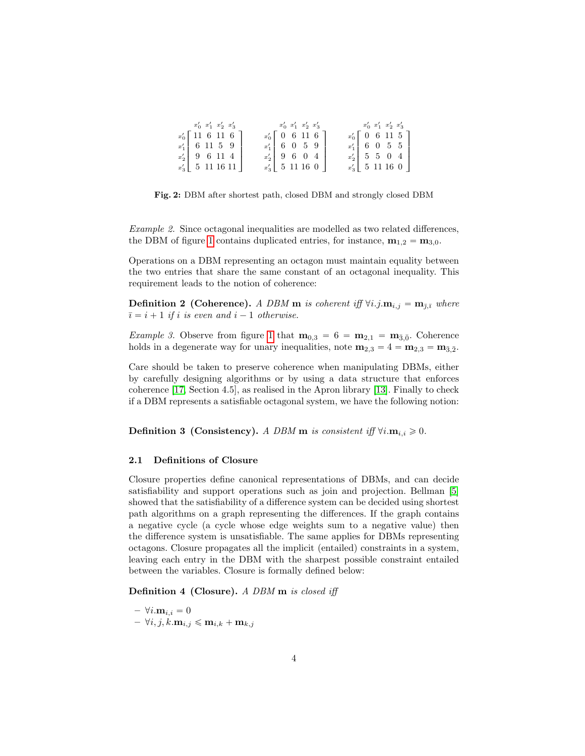<span id="page-4-0"></span>

| $x'_0$ $x'_1$ $x'_2$ $x'_3$ | $x'_0$ $x'_1$ $x'_2$ $x'_3$ | $x'_0$ $x'_1$ $x'_2$ $x'_3$ |
|-----------------------------|-----------------------------|-----------------------------|
| $x'_0$ 11 6 11 6            | $x'_0$ [ 0 6 11 6 ]         | $x'_0$ [ 0 6 11 5 ]         |
| $x'_1$ 6 11 5 9             | $x'_1$ 6 0 5 9              | $x'_1$ 6 0 5 5              |
| $x'_2$ 9 6 11 4             | $x'_2$ 9 6 0 4              | $x'_2$ 5 5 0 4              |
| $x'_3$ 5 11 16 11           | $x'_3$ 5 11 16 0            | $x'_3$ 5 11 16 0            |

Fig. 2: DBM after shortest path, closed DBM and strongly closed DBM

Example 2. Since octagonal inequalities are modelled as two related differences, the DBM of figure [1](#page-2-0) contains duplicated entries, for instance,  $\mathbf{m}_{1,2} = \mathbf{m}_{3,0}$ .

Operations on a DBM representing an octagon must maintain equality between the two entries that share the same constant of an octagonal inequality. This requirement leads to the notion of coherence:

**Definition 2 (Coherence).** A DBM **m** is coherent iff  $\forall i. j.$ **m**<sub>i,j</sub> = **m**<sub>j,j</sub> where  $\overline{i} = i + 1$  if i is even and  $i - 1$  otherwise.

*Example 3.* Observe from figure [1](#page-2-0) that  $\mathbf{m}_{0,3} = 6 = \mathbf{m}_{2,1} = \mathbf{m}_{\bar{3},\bar{0}}$ . Coherence holds in a degenerate way for unary inequalities, note  $\mathbf{m}_{2,3} = 4 = \mathbf{m}_{2,3} = \mathbf{m}_{\bar{3},\bar{2}}$ .

Care should be taken to preserve coherence when manipulating DBMs, either by carefully designing algorithms or by using a data structure that enforces coherence [\[17,](#page-18-11) Section 4.5], as realised in the Apron library [\[13\]](#page-18-3). Finally to check if a DBM represents a satisfiable octagonal system, we have the following notion:

**Definition 3 (Consistency).** A DBM **m** is consistent iff  $\forall i.\mathbf{m}_{i,i} \geq 0$ .

#### 2.1 Definitions of Closure

Closure properties define canonical representations of DBMs, and can decide satisfiability and support operations such as join and projection. Bellman [\[5\]](#page-17-2) showed that the satisfiability of a difference system can be decided using shortest path algorithms on a graph representing the differences. If the graph contains a negative cycle (a cycle whose edge weights sum to a negative value) then the difference system is unsatisfiable. The same applies for DBMs representing octagons. Closure propagates all the implicit (entailed) constraints in a system, leaving each entry in the DBM with the sharpest possible constraint entailed between the variables. Closure is formally defined below:

Definition 4 (Closure). A DBM m is closed iff

 $- \forall i . \mathbf{m}_{i,i} = 0$  $- \forall i, j, k.\mathbf{m}_{i,j} \leqslant \mathbf{m}_{i,k} + \mathbf{m}_{k,j}$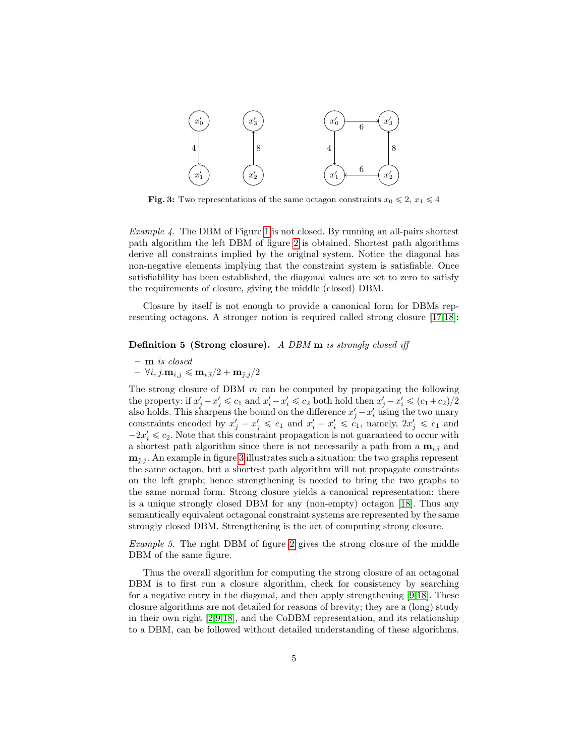<span id="page-5-0"></span>

**Fig. 3:** Two representations of the same octagon constraints  $x_0 \leq 2$ ,  $x_1 \leq 4$ 

Example 4. The DBM of Figure [1](#page-2-0) is not closed. By running an all-pairs shortest path algorithm the left DBM of figure [2](#page-3-0) is obtained. Shortest path algorithms derive all constraints implied by the original system. Notice the diagonal has non-negative elements implying that the constraint system is satisfiable. Once satisfiability has been established, the diagonal values are set to zero to satisfy the requirements of closure, giving the middle (closed) DBM.

Closure by itself is not enough to provide a canonical form for DBMs representing octagons. A stronger notion is required called strong closure [\[17](#page-18-11)[,18\]](#page-18-0):

#### Definition 5 (Strong closure). A DBM m is strongly closed iff

- m is closed
- $\forall i, j. \mathbf{m}_{i,j} \leqslant \mathbf{m}_{i,\bar{i}}/2 + \mathbf{m}_{\bar{i},j}/2$

The strong closure of DBM  $m$  can be computed by propagating the following the property: if  $x'_j - x'_j \leq c_1$  and  $x'_i - x'_i \leq c_2$  both hold then  $x'_j - x'_i \leq (c_1 + c_2)/2$ also holds. This sharpens the bound on the difference  $x'_j - x'_i$  using the two unary constraints encoded by  $x'_j - x'_j \leq c_1$  and  $x'_i - x'_i \leq c_1$ , namely,  $2x'_j \leq c_1$  and  $-2x'_i \leq c_2$ . Note that this constraint propagation is not guaranteed to occur with a shortest path algorithm since there is not necessarily a path from a  $\mathbf{m}_{i,\bar{i}}$  and  $\mathbf{m}_{\bar{\imath},j}$ . An example in figure [3](#page-4-0) illustrates such a situation: the two graphs represent the same octagon, but a shortest path algorithm will not propagate constraints on the left graph; hence strengthening is needed to bring the two graphs to the same normal form. Strong closure yields a canonical representation: there is a unique strongly closed DBM for any (non-empty) octagon [\[18\]](#page-18-0). Thus any semantically equivalent octagonal constraint systems are represented by the same strongly closed DBM. Strengthening is the act of computing strong closure.

Example 5. The right DBM of figure [2](#page-3-0) gives the strong closure of the middle DBM of the same figure.

Thus the overall algorithm for computing the strong closure of an octagonal DBM is to first run a closure algorithm, check for consistency by searching for a negative entry in the diagonal, and then apply strengthening [\[9,](#page-18-2)[18\]](#page-18-0). These closure algorithms are not detailed for reasons of brevity; they are a (long) study in their own right [\[2,](#page-17-0)[9](#page-18-2)[,18\]](#page-18-0), and the CoDBM representation, and its relationship to a DBM, can be followed without detailed understanding of these algorithms.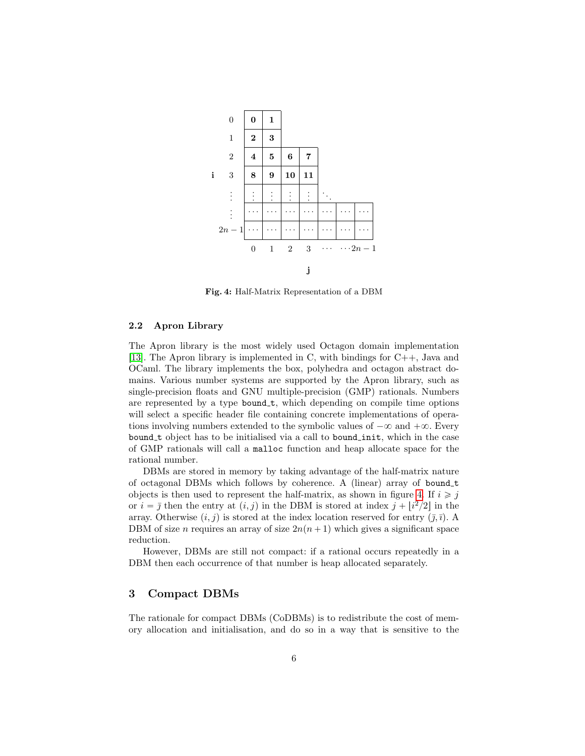<span id="page-6-0"></span>

Fig. 4: Half-Matrix Representation of a DBM

#### 2.2 Apron Library

The Apron library is the most widely used Octagon domain implementation [\[13\]](#page-18-3). The Apron library is implemented in C, with bindings for C++, Java and OCaml. The library implements the box, polyhedra and octagon abstract domains. Various number systems are supported by the Apron library, such as single-precision floats and GNU multiple-precision (GMP) rationals. Numbers are represented by a type bound  $t$ , which depending on compile time options will select a specific header file containing concrete implementations of operations involving numbers extended to the symbolic values of  $-\infty$  and  $+\infty$ . Every bound t object has to be initialised via a call to bound init, which in the case of GMP rationals will call a malloc function and heap allocate space for the rational number.

DBMs are stored in memory by taking advantage of the half-matrix nature of octagonal DBMs which follows by coherence. A (linear) array of bound t objects is then used to represent the half-matrix, as shown in figure [4.](#page-5-0) If  $i \geq j$ or  $i = \overline{j}$  then the entry at  $(i, j)$  in the DBM is stored at index  $j + \lfloor i^2/2 \rfloor$  in the array. Otherwise  $(i, j)$  is stored at the index location reserved for entry  $(\bar{j}, \bar{i})$ . A DBM of size n requires an array of size  $2n(n + 1)$  which gives a significant space reduction.

However, DBMs are still not compact: if a rational occurs repeatedly in a DBM then each occurrence of that number is heap allocated separately.

#### 3 Compact DBMs

The rationale for compact DBMs (CoDBMs) is to redistribute the cost of memory allocation and initialisation, and do so in a way that is sensitive to the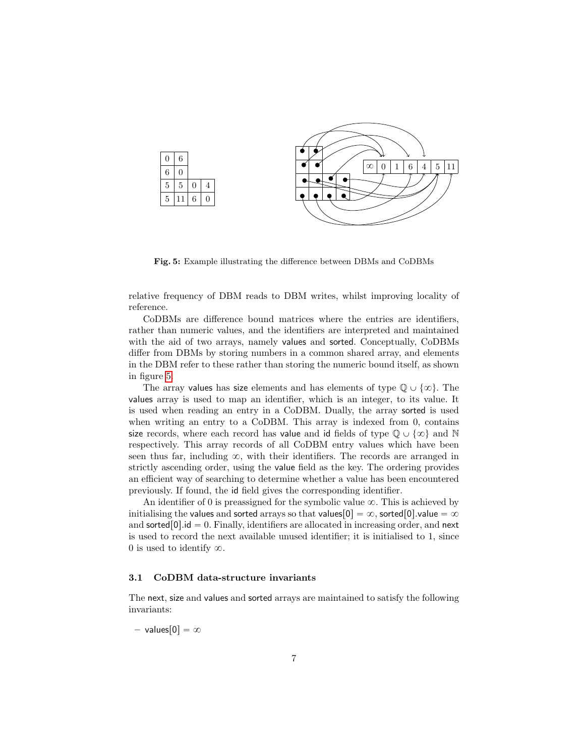<span id="page-7-0"></span>

Fig. 5: Example illustrating the difference between DBMs and CoDBMs

relative frequency of DBM reads to DBM writes, whilst improving locality of reference.

CoDBMs are difference bound matrices where the entries are identifiers, rather than numeric values, and the identifiers are interpreted and maintained with the aid of two arrays, namely values and sorted. Conceptually, CoDBMs differ from DBMs by storing numbers in a common shared array, and elements in the DBM refer to these rather than storing the numeric bound itself, as shown in figure [5.](#page-6-0)

The array values has size elements and has elements of type  $\mathbb{Q} \cup \{\infty\}$ . The values array is used to map an identifier, which is an integer, to its value. It is used when reading an entry in a CoDBM. Dually, the array sorted is used when writing an entry to a CoDBM. This array is indexed from 0, contains size records, where each record has value and id fields of type  $\mathbb{Q} \cup \{\infty\}$  and N respectively. This array records of all CoDBM entry values which have been seen thus far, including  $\infty$ , with their identifiers. The records are arranged in strictly ascending order, using the value field as the key. The ordering provides an efficient way of searching to determine whether a value has been encountered previously. If found, the id field gives the corresponding identifier.

An identifier of 0 is preassigned for the symbolic value  $\infty$ . This is achieved by initialising the values and sorted arrays so that values  $[0] = \infty$ , sorted  $[0]$ .value  $= \infty$ and sorted  $[0]$  id  $= 0$ . Finally, identifiers are allocated in increasing order, and next is used to record the next available unused identifier; it is initialised to 1, since 0 is used to identify  $\infty$ .

#### 3.1 CoDBM data-structure invariants

The next, size and values and sorted arrays are maintained to satisfy the following invariants:

– values $[0] = \infty$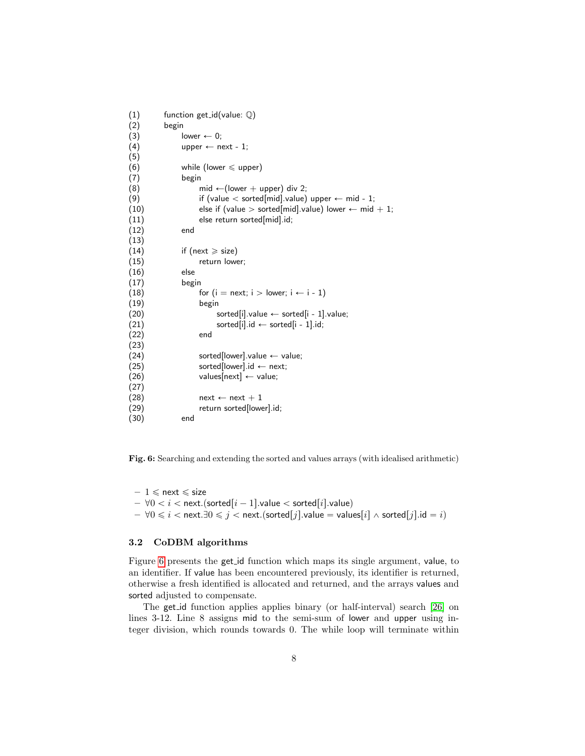<span id="page-8-0"></span>(1) function get id(value: Q) (2) begin (3) lower  $\leftarrow$  0; (4) upper  $\leftarrow$  next - 1; (5) (6) while (lower  $\leq$  upper) (7) begin (8) mid  $\leftarrow$  (lower + upper) div 2; (9) if (value  $<$  sorted[mid].value) upper  $\leftarrow$  mid - 1; (10) else if (value  $>$  sorted[mid].value) lower  $\leftarrow$  mid  $+$  1; (11) else return sorted[mid].id; (12) end (13) (14) if (next  $\ge$  size) (15) return lower; (16) else (17) begin (18) for  $(i = next; i > lower; i \leftarrow i - 1)$ (19) begin (20) sorted[i].value  $\leftarrow$  sorted[i - 1].value; (21) sorted[i].id  $\leftarrow$  sorted[i - 1].id; (22) end (23)  $(24)$  sorted[lower].value  $\leftarrow$  value;  $(25)$  sorted[lower].id  $\leftarrow$  next;  $(26)$  values[next]  $\leftarrow$  value; (27) (28)  $next \leftarrow next + 1$ (29) return sorted[lower].id; (30) end

Fig. 6: Searching and extending the sorted and values arrays (with idealised arithmetic)

 $-1 \leqslant$  next  $\leqslant$  size  $- \forall 0 < i < \text{next.(sorted}[i - 1].value < \text{sorted}[i].value)$  $- \forall 0 \leq i < \text{next}. \exists 0 \leq j < \text{next}.(\text{sorted}[j].\text{value} = \text{values}[i] \land \text{sorted}[j].\text{id} = i)$ 

#### 3.2 CoDBM algorithms

Figure [6](#page-7-0) presents the get id function which maps its single argument, value, to an identifier. If value has been encountered previously, its identifier is returned, otherwise a fresh identified is allocated and returned, and the arrays values and sorted adjusted to compensate.

The get id function applies applies binary (or half-interval) search [\[26\]](#page-18-13) on lines 3-12. Line 8 assigns mid to the semi-sum of lower and upper using integer division, which rounds towards 0. The while loop will terminate within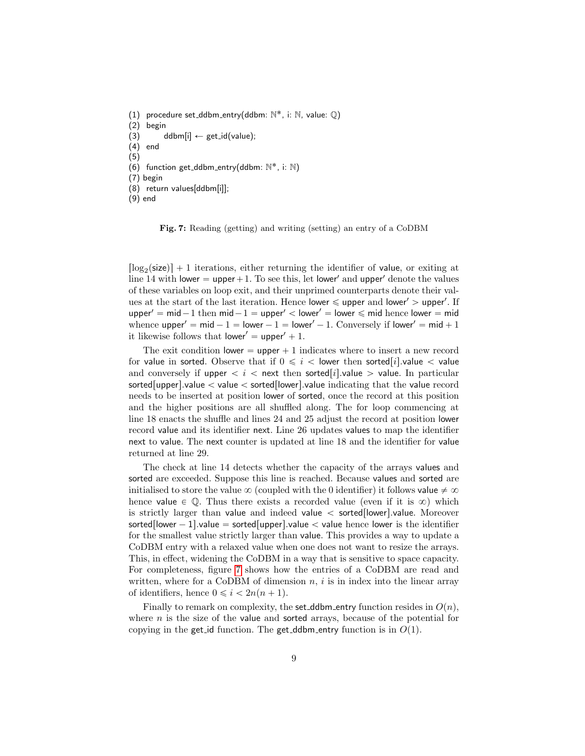<span id="page-9-0"></span>(1) procedure set\_ddbm\_entry(ddbm:  $\mathbb{N}^*$ , i:  $\mathbb{N}$ , value:  $\mathbb{Q}$ )

(2) begin

(3) ddbm[i]  $\leftarrow$  get\_id(value);

(4) end

(5)

 $(6)$  function get\_ddbm\_entry(ddbm:  $\mathbb{N}^*$ , i:  $\mathbb{N}$ )

(7) begin

(8) return values[ddbm[i]];

(9) end

Fig. 7: Reading (getting) and writing (setting) an entry of a CoDBM

 $\lceil \log_2(\text{size}) \rceil + 1$  iterations, either returning the identifier of value, or exiting at line 14 with lower  $=$  upper $+1$ . To see this, let lower' and upper' denote the values of these variables on loop exit, and their unprimed counterparts denote their values at the start of the last iteration. Hence lower  $\leq$  upper and lower'  $>$  upper'. If upper' = mid - 1 then mid - 1 = upper' < lower' = lower  $\leq$  mid hence lower = mid whence upper<sup> $1$ </sup> = mid  $-1$  = lower  $-1$  = lower<sup> $1$ </sup> - 1. Conversely if lower<sup> $1$ </sup> = mid + 1 it likewise follows that lower' =  $upper' + 1$ .

The exit condition lower  $=$  upper  $+1$  indicates where to insert a new record for value in sorted. Observe that if  $0 \leq i <$  lower then sorted *i*. value  $\lt$  value and conversely if upper  $*i  $<$  next then sorted [i] value  $>$  value. In particular*$ sorted upper  $\vert$  value  $\vert$  value  $\vert$  sorted  $\vert$  lower  $\vert$  value indicating that the value record needs to be inserted at position lower of sorted, once the record at this position and the higher positions are all shuffled along. The for loop commencing at line 18 enacts the shuffle and lines 24 and 25 adjust the record at position lower record value and its identifier next. Line 26 updates values to map the identifier next to value. The next counter is updated at line 18 and the identifier for value returned at line 29.

The check at line 14 detects whether the capacity of the arrays values and sorted are exceeded. Suppose this line is reached. Because values and sorted are initialised to store the value  $\infty$  (coupled with the 0 identifier) it follows value  $\neq \infty$ hence value  $\in \mathbb{Q}$ . Thus there exists a recorded value (even if it is  $\infty$ ) which is strictly larger than value and indeed value  $\lt$  sorted [lower] value. Moreover sorted [lower  $- 1$ ].value = sorted [upper].value  $\lt$  value hence lower is the identifier for the smallest value strictly larger than value. This provides a way to update a CoDBM entry with a relaxed value when one does not want to resize the arrays. This, in effect, widening the CoDBM in a way that is sensitive to space capacity. For completeness, figure [7](#page-8-0) shows how the entries of a CoDBM are read and written, where for a CoDBM of dimension  $n, i$  is in index into the linear array of identifiers, hence  $0 \leq i \leq 2n(n + 1)$ .

Finally to remark on complexity, the set ddbm entry function resides in  $O(n)$ , where  $n$  is the size of the value and sorted arrays, because of the potential for copying in the get id function. The get ddbm entry function is in  $O(1)$ .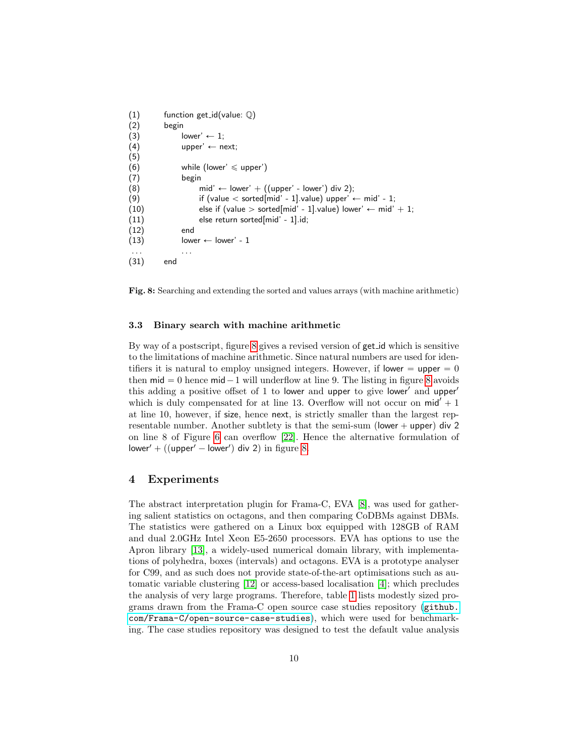```
(1) function get_id(value: \mathbb{Q})
(2) begin
(3) lower' \leftarrow 1;
(4) upper' \leftarrow next;
(5)
(6) while (lower' \leq upper')
(7) begin
(8) mid' \leftarrow lower' + ((upper' - lower') div 2);
(9) if (value \lt sorted[mid' - 1].value) upper' \leftarrow mid' - 1;
(10) else if (value > sorted[mid' - 1].value) lower' \leftarrow mid' + 1;
(11) else return sorted[mid' - 1].id;
(12) end
(13) lower \leftarrow lower' - 1
. . . . . .
(31) end
```
<span id="page-10-1"></span>Fig. 8: Searching and extending the sorted and values arrays (with machine arithmetic)

#### 3.3 Binary search with machine arithmetic

By way of a postscript, figure [8](#page-9-0) gives a revised version of get id which is sensitive to the limitations of machine arithmetic. Since natural numbers are used for identifiers it is natural to employ unsigned integers. However, if lower  $=$  upper  $= 0$ then  $mid = 0$  hence  $mid -1$  will underflow at line 9. The listing in figure [8](#page-9-0) avoids this adding a positive offset of 1 to lower and upper to give lower and upper which is duly compensated for at line 13. Overflow will not occur on  $mid' + 1$ at line 10, however, if size, hence next, is strictly smaller than the largest representable number. Another subtlety is that the semi-sum (lower  $+$  upper) div 2 on line 8 of Figure [6](#page-7-0) can overflow [\[22\]](#page-18-14). Hence the alternative formulation of  $lower' + ((upper' - lower')$  div 2) in figure [8.](#page-9-0)

#### 4 Experiments

The abstract interpretation plugin for Frama-C, EVA [\[8\]](#page-18-7), was used for gathering salient statistics on octagons, and then comparing CoDBMs against DBMs. The statistics were gathered on a Linux box equipped with 128GB of RAM and dual 2.0GHz Intel Xeon E5-2650 processors. EVA has options to use the Apron library [\[13\]](#page-18-3), a widely-used numerical domain library, with implementations of polyhedra, boxes (intervals) and octagons. EVA is a prototype analyser for C99, and as such does not provide state-of-the-art optimisations such as automatic variable clustering [\[12\]](#page-18-15) or access-based localisation [\[4\]](#page-17-3); which precludes the analysis of very large programs. Therefore, table [1](#page-10-0) lists modestly sized programs drawn from the Frama-C open source case studies repository ([github.](github.com/Frama-C/open-source-case-studies) [com/Frama-C/open-source-case-studies](github.com/Frama-C/open-source-case-studies)), which were used for benchmarking. The case studies repository was designed to test the default value analysis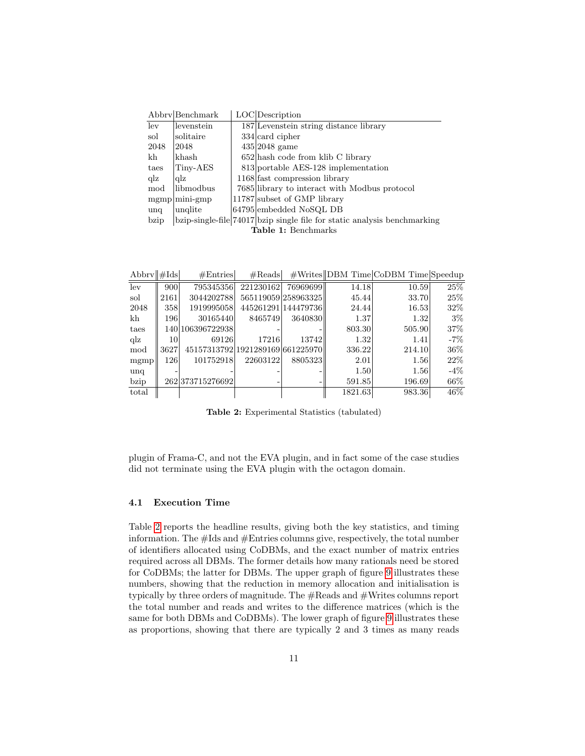<span id="page-11-0"></span>

|                            | Abbry Benchmark  |  | LOC Description                                                          |  |  |  |
|----------------------------|------------------|--|--------------------------------------------------------------------------|--|--|--|
| lev                        | levenstein       |  | 187 Levenstein string distance library                                   |  |  |  |
| sol                        | solitaire        |  | $334$ card cipher                                                        |  |  |  |
| 2048                       | 2048             |  | $435 2048$ game                                                          |  |  |  |
| kh                         | khash            |  | $652$ hash code from klib C library                                      |  |  |  |
| taes                       | Tiny-AES         |  | 813 portable AES-128 implementation                                      |  |  |  |
| $q\bar{z}$                 | $_{\rm{q}lz}$    |  | 1168 fast compression library                                            |  |  |  |
| mod                        | libmodbus        |  | 7685 library to interact with Modbus protocol                            |  |  |  |
|                            | $mgmp  min-smp $ |  | 11787 subset of GMP library                                              |  |  |  |
| unq                        | unglite          |  | 64795 embedded NoSQL DB                                                  |  |  |  |
| bzip                       |                  |  | bzip-single-file 74017 bzip single file for static analysis benchmarking |  |  |  |
| <b>Table 1:</b> Benchmarks |                  |  |                                                                          |  |  |  |

| Abbry $\ \#\text{lds}\ $ |      | #Entries                         | #Reads    |                     |         | #Writes  DBM Time CoDBM Time Speedup |                   |
|--------------------------|------|----------------------------------|-----------|---------------------|---------|--------------------------------------|-------------------|
| lev                      | 900  | 795345356                        | 221230162 | 76969699            | 14.18   | 10.59                                | $\overline{25\%}$ |
| sol                      | 2161 | 3044202788                       |           | 565119059 258963325 | 45.44   | 33.70                                | 25%               |
| 2048                     | 358  | 1919995058                       |           | 445261291 144479736 | 24.44   | 16.53                                | 32\%              |
| kh                       | 196  | 30165440                         | 8465749   | 3640830             | 1.37    | 1.32                                 | $3\%$             |
| taes                     |      | 140 106396722938                 |           |                     | 803.30  | 505.90                               | 37%               |
| $q\bar{z}$               | 10   | 69126                            | 17216     | 13742               | 1.32    | 1.41                                 | $-7\%$            |
| mod                      | 3627 | 45157313792 1921289169 661225970 |           |                     | 336.22  | 214.10                               | 36%               |
| mgmp                     | 126  | 101752918                        | 22603122  | 8805323             | 2.01    | 1.56                                 | $22\%$            |
| unq                      |      |                                  |           |                     | 1.50    | 1.56                                 | $-4\%$            |
| bzip                     |      | 262 373715276692                 |           |                     | 591.85  | 196.69                               | $66\%$            |
| total                    |      |                                  |           |                     | 1821.63 | 983.36                               | $46\%$            |

Table 2: Experimental Statistics (tabulated)

plugin of Frama-C, and not the EVA plugin, and in fact some of the case studies did not terminate using the EVA plugin with the octagon domain.

#### 4.1 Execution Time

Table [2](#page-10-1) reports the headline results, giving both the key statistics, and timing information. The #Ids and #Entries columns give, respectively, the total number of identifiers allocated using CoDBMs, and the exact number of matrix entries required across all DBMs. The former details how many rationals need be stored for CoDBMs; the latter for DBMs. The upper graph of figure [9](#page-11-0) illustrates these numbers, showing that the reduction in memory allocation and initialisation is typically by three orders of magnitude. The #Reads and #Writes columns report the total number and reads and writes to the difference matrices (which is the same for both DBMs and CoDBMs). The lower graph of figure [9](#page-11-0) illustrates these as proportions, showing that there are typically 2 and 3 times as many reads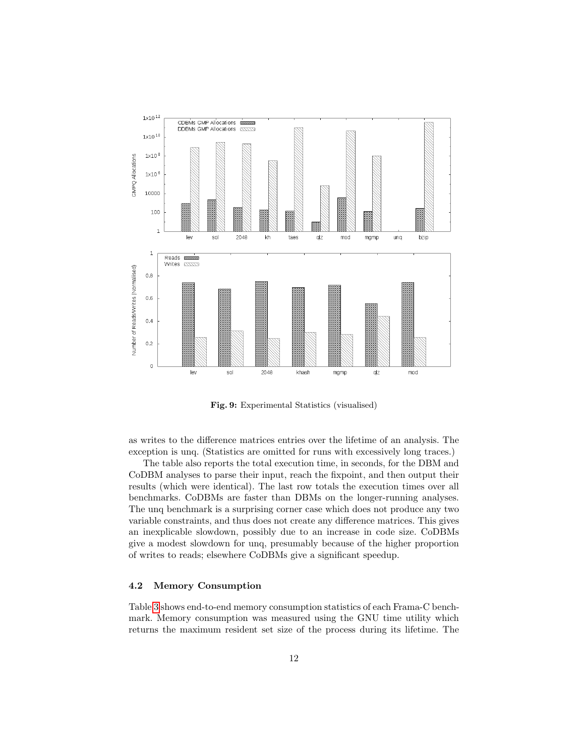<span id="page-12-0"></span>

Fig. 9: Experimental Statistics (visualised)

as writes to the difference matrices entries over the lifetime of an analysis. The exception is unq. (Statistics are omitted for runs with excessively long traces.)

The table also reports the total execution time, in seconds, for the DBM and CoDBM analyses to parse their input, reach the fixpoint, and then output their results (which were identical). The last row totals the execution times over all benchmarks. CoDBMs are faster than DBMs on the longer-running analyses. The unq benchmark is a surprising corner case which does not produce any two variable constraints, and thus does not create any difference matrices. This gives an inexplicable slowdown, possibly due to an increase in code size. CoDBMs give a modest slowdown for unq, presumably because of the higher proportion of writes to reads; elsewhere CoDBMs give a significant speedup.

#### 4.2 Memory Consumption

Table [3](#page-12-0) shows end-to-end memory consumption statistics of each Frama-C benchmark. Memory consumption was measured using the GNU time utility which returns the maximum resident set size of the process during its lifetime. The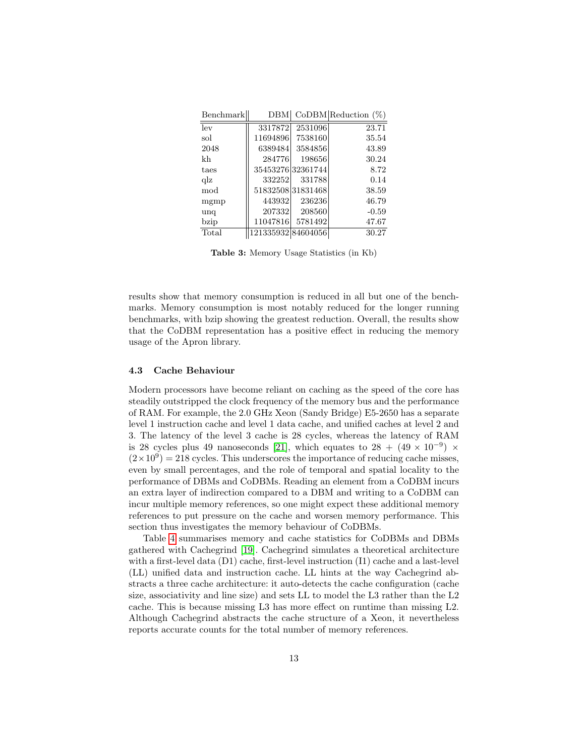<span id="page-13-0"></span>

| Benchmark  | <b>DBM</b>         |                   | CoDBM Reduction (%) |
|------------|--------------------|-------------------|---------------------|
| lev        | 3317872            | 2531096           | 23.71               |
| sol        | 11694896           | 7538160           | 35.54               |
| 2048       | 6389484            | 3584856           | 43.89               |
| kh         | 284776             | 198656            | 30.24               |
| taes       |                    | 35453276 32361744 | 8.72                |
| $q\bar{z}$ | 332252             | 331788            | 0.14                |
| mod        |                    | 51832508 31831468 | 38.59               |
| mgmp       | 443932             | 236236            | 46.79               |
| unq        | 207332             | 208560            | $-0.59$             |
| bzip       | 11047816           | 5781492           | 47.67               |
| Total      | 121335932 84604056 |                   | 30.27               |

Table 3: Memory Usage Statistics (in Kb)

results show that memory consumption is reduced in all but one of the benchmarks. Memory consumption is most notably reduced for the longer running benchmarks, with bzip showing the greatest reduction. Overall, the results show that the CoDBM representation has a positive effect in reducing the memory usage of the Apron library.

#### 4.3 Cache Behaviour

Modern processors have become reliant on caching as the speed of the core has steadily outstripped the clock frequency of the memory bus and the performance of RAM. For example, the 2.0 GHz Xeon (Sandy Bridge) E5-2650 has a separate level 1 instruction cache and level 1 data cache, and unified caches at level 2 and 3. The latency of the level 3 cache is 28 cycles, whereas the latency of RAM is 28 cycles plus 49 nanoseconds [\[21\]](#page-18-16), which equates to  $28 + (49 \times 10^{-9}) \times$  $(2 \times 10^9) = 218$  cycles. This underscores the importance of reducing cache misses, even by small percentages, and the role of temporal and spatial locality to the performance of DBMs and CoDBMs. Reading an element from a CoDBM incurs an extra layer of indirection compared to a DBM and writing to a CoDBM can incur multiple memory references, so one might expect these additional memory references to put pressure on the cache and worsen memory performance. This section thus investigates the memory behaviour of CoDBMs.

Table [4](#page-13-0) summarises memory and cache statistics for CoDBMs and DBMs gathered with Cachegrind [\[19\]](#page-18-17). Cachegrind simulates a theoretical architecture with a first-level data (D1) cache, first-level instruction (I1) cache and a last-level (LL) unified data and instruction cache. LL hints at the way Cachegrind abstracts a three cache architecture: it auto-detects the cache configuration (cache size, associativity and line size) and sets LL to model the L3 rather than the L2 cache. This is because missing L3 has more effect on runtime than missing L2. Although Cachegrind abstracts the cache structure of a Xeon, it nevertheless reports accurate counts for the total number of memory references.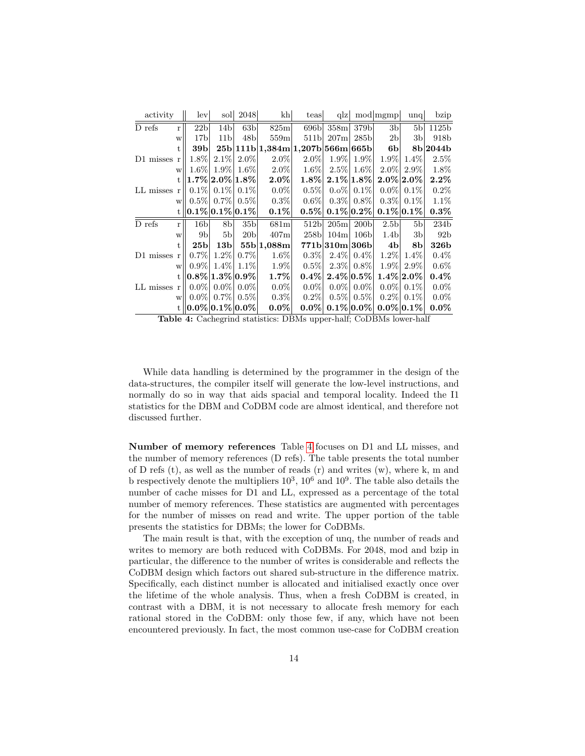| activity        |              | lev             | soll                                  | 2048              | $\  \mathbf{h} \ $               | teas             | q z                       |                  | mod  mgmp        | $\text{unq}$   | bzip             |
|-----------------|--------------|-----------------|---------------------------------------|-------------------|----------------------------------|------------------|---------------------------|------------------|------------------|----------------|------------------|
| D refs          | $\mathbf{r}$ | 22 <sub>b</sub> | 14 <sub>b</sub>                       | 63 <sub>b</sub>   | 825m                             | 696 <sub>b</sub> | 358m                      | 379b             | 3 <sub>b</sub>   | 5 <sub>b</sub> | 1125b            |
|                 | W            | 17 <sub>b</sub> | 11 <sub>b</sub>                       | 48 <sub>b</sub>   | 559m                             | 511 <sub>b</sub> | 207m                      | 285 <sub>b</sub> | 2 <sub>b</sub>   | 3b             | 918b             |
|                 | t.           | 39b             |                                       |                   | 25b 111b 1,384m 1,207b 566m 665b |                  |                           |                  | 6 <sub>b</sub>   |                | 8b 2044b         |
| $D1$ misses $r$ |              | $1.8\%$         |                                       | $2.1\%$ 2.0%      | $2.0\%$                          | $2.0\%$          | $1.9\%$                   | $1.9\%$          | $1.9\%$          | $1.4\%$        | $2.5\%$          |
|                 | W            | $1.6\%$         | $1.9\%$                               | $1.6\%$           | $2.0\%$                          | $1.6\%$          | $2.5\%$                   | $1.6\%$          | $2.0\%$          | $2.9\%$        | 1.8%             |
|                 | t.           |                 | $\left 1.7\%\right 2.0\%\right 1.8\%$ |                   | $2.0\%$                          | $1.8\%$          | $2.1\%$ 1.8%              |                  |                  | $2.0\%$ 2.0%   | $2.2\%$          |
| $LL$ misses $r$ |              | $0.1\%$         |                                       | $0.1\%$   $0.1\%$ | $0.0\%$                          | $0.5\%$          | $0.0\%$                   | $0.1\%$          | $0.0\%$          | $0.1\%$        | $0.2\%$          |
|                 | W            |                 | $0.5\%$ 0.7% 0.5%                     |                   | $0.3\%$                          | $0.6\%$          | $0.3\%$                   | $0.8\%$          | $0.3\%$          | $0.1\%$        | $1.1\%$          |
|                 |              |                 | $ 0.1\% 0.1\% 0.1\% $                 |                   | $0.1\%$                          | $0.5\%$          |                           | $0.1\% 0.2\% $   |                  | $0.1\% 0.1\% $ | $0.3\%$          |
| $D$ refs        | r            | 16 <sub>b</sub> | 8 <sub>b</sub>                        | 35 <sub>b</sub>   | 681m                             | 512 <sub>b</sub> | 205m                      | 200 <sub>b</sub> | 2.5 <sub>b</sub> | 5 <sub>b</sub> | 234 <sub>b</sub> |
|                 | W            | 9 <sub>b</sub>  | 5 <sub>b</sub>                        | 20 <sub>b</sub>   | 407m                             | 258 <sub>b</sub> | 104m                      | 106 <sub>b</sub> | 1.4 <sub>b</sub> | 3 <sub>b</sub> | 92 <sub>b</sub>  |
|                 | t.           | 25 <sub>b</sub> | 13 <sub>b</sub>                       |                   | 55b 1,088m                       |                  | 771b 310m 306b            |                  | 4b               | 8b             | <b>326b</b>      |
| $D1$ misses $r$ |              | $0.7\%$         | $1.2\%$                               | $0.7\%$           | 1.6%                             | $0.3\%$          | $2.4\%$                   | $0.4\%$          | $1.2\%$          | $1.4\%$        | $0.4\%$          |
|                 | W            | $0.9\%$         | $1.4\%$                               | $1.1\%$           | 1.9%                             | $0.5\%$          | $2.3\%$                   | $0.8\%$          | $1.9\%$          | $2.9\%$        | $0.6\%$          |
|                 |              |                 | $ 0.8\% 1.3\% 0.9\% $                 |                   | $1.7\%$                          | $0.4\%$          | $2.4\% \vert 0.5\% \vert$ |                  |                  | $1.4\% 2.0\% $ | $0.4\%$          |
| LL misses r     |              | $0.0\%$         |                                       | $0.0\%$ 0.0%      | $0.0\%$                          | $0.0\%$          | $0.0\%$                   | $0.0\%$          | $0.0\%$          | $0.1\%$        | $0.0\%$          |
|                 | W            | $0.0\%$         |                                       | $0.7\%$   $0.5\%$ | $0.3\%$                          | $0.2\%$          | $0.5\%$                   | $0.5\%$          | $0.2\%$          | $0.1\%$        | $0.0\%$          |
|                 |              |                 | $ 0.0\% 0.1\% 0.0\%$                  |                   | $0.0\%$                          | $0.0\%$          | $0.1\% 0.0\% $            |                  |                  | $0.0\%$ 0.1%   | $0.0\%$          |

Table 4: Cachegrind statistics: DBMs upper-half; CoDBMs lower-half

While data handling is determined by the programmer in the design of the data-structures, the compiler itself will generate the low-level instructions, and normally do so in way that aids spacial and temporal locality. Indeed the I1 statistics for the DBM and CoDBM code are almost identical, and therefore not discussed further.

Number of memory references Table [4](#page-13-0) focuses on D1 and LL misses, and the number of memory references (D refs). The table presents the total number of D refs  $(t)$ , as well as the number of reads  $(r)$  and writes  $(w)$ , where k, m and b respectively denote the multipliers  $10^3$ ,  $10^6$  and  $10^9$ . The table also details the number of cache misses for D1 and LL, expressed as a percentage of the total number of memory references. These statistics are augmented with percentages for the number of misses on read and write. The upper portion of the table presents the statistics for DBMs; the lower for CoDBMs.

The main result is that, with the exception of unq, the number of reads and writes to memory are both reduced with CoDBMs. For 2048, mod and bzip in particular, the difference to the number of writes is considerable and reflects the CoDBM design which factors out shared sub-structure in the difference matrix. Specifically, each distinct number is allocated and initialised exactly once over the lifetime of the whole analysis. Thus, when a fresh CoDBM is created, in contrast with a DBM, it is not necessary to allocate fresh memory for each rational stored in the CoDBM: only those few, if any, which have not been encountered previously. In fact, the most common use-case for CoDBM creation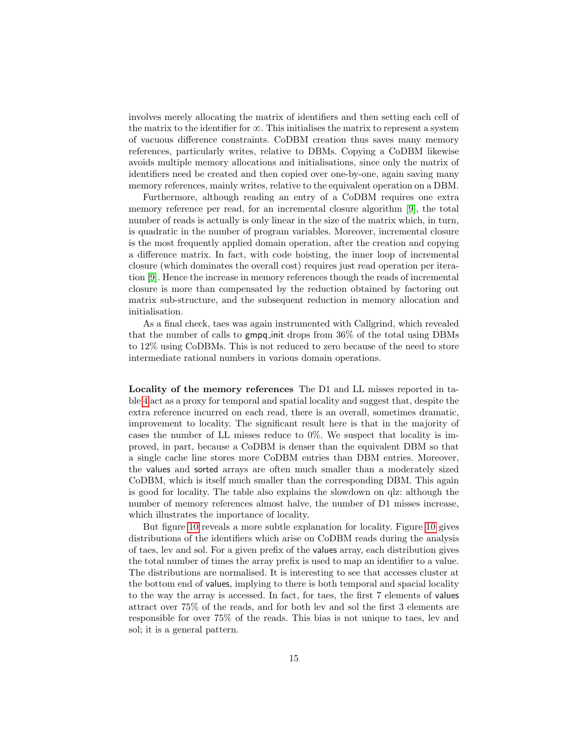<span id="page-15-0"></span>involves merely allocating the matrix of identifiers and then setting each cell of the matrix to the identifier for  $\infty$ . This initialises the matrix to represent a system of vacuous difference constraints. CoDBM creation thus saves many memory references, particularly writes, relative to DBMs. Copying a CoDBM likewise avoids multiple memory allocations and initialisations, since only the matrix of identifiers need be created and then copied over one-by-one, again saving many memory references, mainly writes, relative to the equivalent operation on a DBM.

Furthermore, although reading an entry of a CoDBM requires one extra memory reference per read, for an incremental closure algorithm [\[9\]](#page-18-2), the total number of reads is actually is only linear in the size of the matrix which, in turn, is quadratic in the number of program variables. Moreover, incremental closure is the most frequently applied domain operation, after the creation and copying a difference matrix. In fact, with code hoisting, the inner loop of incremental closure (which dominates the overall cost) requires just read operation per iteration [\[9\]](#page-18-2). Hence the increase in memory references though the reads of incremental closure is more than compensated by the reduction obtained by factoring out matrix sub-structure, and the subsequent reduction in memory allocation and initialisation.

As a final check, taes was again instrumented with Callgrind, which revealed that the number of calls to gmpq init drops from 36% of the total using DBMs to 12% using CoDBMs. This is not reduced to zero because of the need to store intermediate rational numbers in various domain operations.

Locality of the memory references The D1 and LL misses reported in table [4](#page-13-0) act as a proxy for temporal and spatial locality and suggest that, despite the extra reference incurred on each read, there is an overall, sometimes dramatic, improvement to locality. The significant result here is that in the majority of cases the number of LL misses reduce to 0%. We suspect that locality is improved, in part, because a CoDBM is denser than the equivalent DBM so that a single cache line stores more CoDBM entries than DBM entries. Moreover, the values and sorted arrays are often much smaller than a moderately sized CoDBM, which is itself much smaller than the corresponding DBM. This again is good for locality. The table also explains the slowdown on qlz: although the number of memory references almost halve, the number of D1 misses increase, which illustrates the importance of locality.

But figure [10](#page-15-0) reveals a more subtle explanation for locality. Figure [10](#page-15-0) gives distributions of the identifiers which arise on CoDBM reads during the analysis of taes, lev and sol. For a given prefix of the values array, each distribution gives the total number of times the array prefix is used to map an identifier to a value. The distributions are normalised. It is interesting to see that accesses cluster at the bottom end of values, implying to there is both temporal and spacial locality to the way the array is accessed. In fact, for taes, the first 7 elements of values attract over 75% of the reads, and for both lev and sol the first 3 elements are responsible for over 75% of the reads. This bias is not unique to taes, lev and sol; it is a general pattern.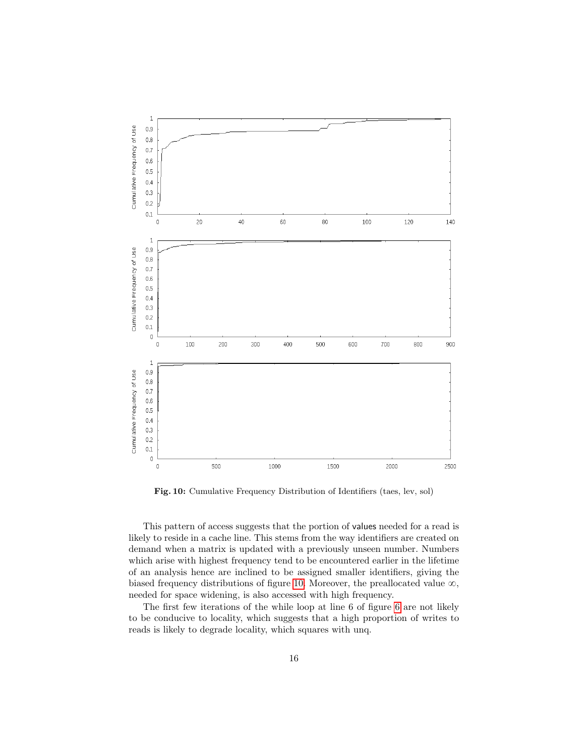

Fig. 10: Cumulative Frequency Distribution of Identifiers (taes, lev, sol)

This pattern of access suggests that the portion of values needed for a read is likely to reside in a cache line. This stems from the way identifiers are created on demand when a matrix is updated with a previously unseen number. Numbers which arise with highest frequency tend to be encountered earlier in the lifetime of an analysis hence are inclined to be assigned smaller identifiers, giving the biased frequency distributions of figure [10.](#page-15-0) Moreover, the preallocated value  $\infty$ , needed for space widening, is also accessed with high frequency.

The first few iterations of the while loop at line 6 of figure [6](#page-7-0) are not likely to be conducive to locality, which suggests that a high proportion of writes to reads is likely to degrade locality, which squares with unq.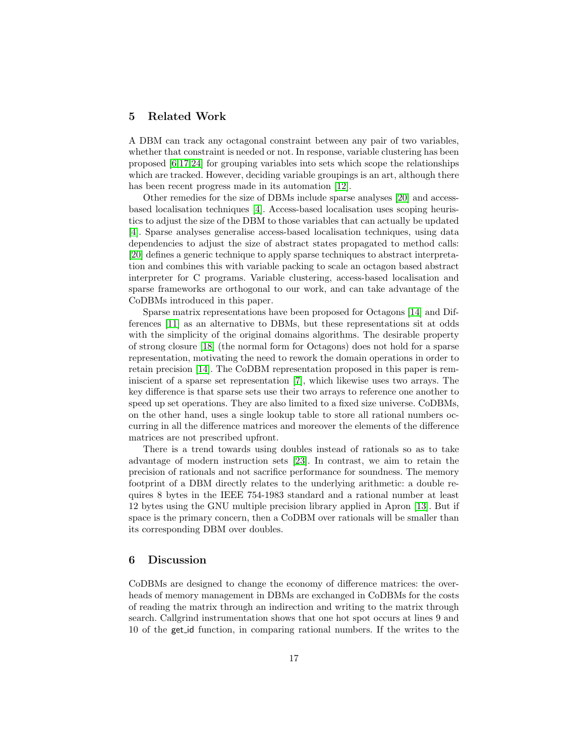#### 5 Related Work

A DBM can track any octagonal constraint between any pair of two variables, whether that constraint is needed or not. In response, variable clustering has been proposed [\[6,](#page-18-1)[17,](#page-18-11)[24\]](#page-18-18) for grouping variables into sets which scope the relationships which are tracked. However, deciding variable groupings is an art, although there has been recent progress made in its automation [\[12\]](#page-18-15).

Other remedies for the size of DBMs include sparse analyses [\[20\]](#page-18-19) and accessbased localisation techniques [\[4\]](#page-17-3). Access-based localisation uses scoping heuristics to adjust the size of the DBM to those variables that can actually be updated [\[4\]](#page-17-3). Sparse analyses generalise access-based localisation techniques, using data dependencies to adjust the size of abstract states propagated to method calls: [\[20\]](#page-18-19) defines a generic technique to apply sparse techniques to abstract interpretation and combines this with variable packing to scale an octagon based abstract interpreter for C programs. Variable clustering, access-based localisation and sparse frameworks are orthogonal to our work, and can take advantage of the CoDBMs introduced in this paper.

Sparse matrix representations have been proposed for Octagons [\[14\]](#page-18-8) and Differences [\[11\]](#page-18-10) as an alternative to DBMs, but these representations sit at odds with the simplicity of the original domains algorithms. The desirable property of strong closure [\[18\]](#page-18-0) (the normal form for Octagons) does not hold for a sparse representation, motivating the need to rework the domain operations in order to retain precision [\[14\]](#page-18-8). The CoDBM representation proposed in this paper is reminiscient of a sparse set representation [\[7\]](#page-18-20), which likewise uses two arrays. The key difference is that sparse sets use their two arrays to reference one another to speed up set operations. They are also limited to a fixed size universe. CoDBMs, on the other hand, uses a single lookup table to store all rational numbers occurring in all the difference matrices and moreover the elements of the difference matrices are not prescribed upfront.

There is a trend towards using doubles instead of rationals so as to take advantage of modern instruction sets [\[23\]](#page-18-9). In contrast, we aim to retain the precision of rationals and not sacrifice performance for soundness. The memory footprint of a DBM directly relates to the underlying arithmetic: a double requires 8 bytes in the IEEE 754-1983 standard and a rational number at least 12 bytes using the GNU multiple precision library applied in Apron [\[13\]](#page-18-3). But if space is the primary concern, then a CoDBM over rationals will be smaller than its corresponding DBM over doubles.

#### <span id="page-17-4"></span><span id="page-17-1"></span><span id="page-17-0"></span>6 Discussion

<span id="page-17-3"></span><span id="page-17-2"></span>CoDBMs are designed to change the economy of difference matrices: the overheads of memory management in DBMs are exchanged in CoDBMs for the costs of reading the matrix through an indirection and writing to the matrix through search. Callgrind instrumentation shows that one hot spot occurs at lines 9 and 10 of the get id function, in comparing rational numbers. If the writes to the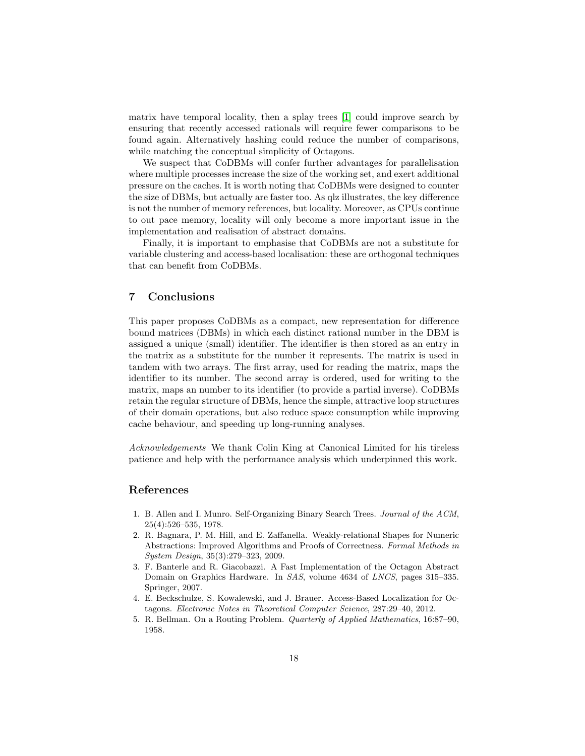<span id="page-18-1"></span>matrix have temporal locality, then a splay trees [\[1\]](#page-17-4) could improve search by ensuring that recently accessed rationals will require fewer comparisons to be found again. Alternatively hashing could reduce the number of comparisons, while matching the conceptual simplicity of Octagons.

<span id="page-18-20"></span><span id="page-18-7"></span>We suspect that CoDBMs will confer further advantages for parallelisation where multiple processes increase the size of the working set, and exert additional pressure on the caches. It is worth noting that CoDBMs were designed to counter the size of DBMs, but actually are faster too. As qlz illustrates, the key difference is not the number of memory references, but locality. Moreover, as CPUs continue to out pace memory, locality will only become a more important issue in the implementation and realisation of abstract domains.

<span id="page-18-10"></span><span id="page-18-4"></span><span id="page-18-2"></span>Finally, it is important to emphasise that CoDBMs are not a substitute for variable clustering and access-based localisation: these are orthogonal techniques that can benefit from CoDBMs.

#### <span id="page-18-15"></span>7 Conclusions

<span id="page-18-12"></span><span id="page-18-8"></span><span id="page-18-3"></span>This paper proposes CoDBMs as a compact, new representation for difference bound matrices (DBMs) in which each distinct rational number in the DBM is assigned a unique (small) identifier. The identifier is then stored as an entry in the matrix as a substitute for the number it represents. The matrix is used in tandem with two arrays. The first array, used for reading the matrix, maps the identifier to its number. The second array is ordered, used for writing to the matrix, maps an number to its identifier (to provide a partial inverse). CoDBMs retain the regular structure of DBMs, hence the simple, attractive loop structures of their domain operations, but also reduce space consumption while improving cache behaviour, and speeding up long-running analyses.

<span id="page-18-17"></span><span id="page-18-11"></span><span id="page-18-5"></span><span id="page-18-0"></span>Acknowledgements We thank Colin King at Canonical Limited for his tireless patience and help with the performance analysis which underpinned this work.

#### <span id="page-18-19"></span><span id="page-18-16"></span>References

- <span id="page-18-14"></span>1. B. Allen and I. Munro. Self-Organizing Binary Search Trees. Journal of the ACM, 25(4):526–535, 1978.
- <span id="page-18-9"></span>2. R. Bagnara, P. M. Hill, and E. Zaffanella. Weakly-relational Shapes for Numeric Abstractions: Improved Algorithms and Proofs of Correctness. Formal Methods in System Design, 35(3):279–323, 2009.
- <span id="page-18-18"></span><span id="page-18-6"></span>3. F. Banterle and R. Giacobazzi. A Fast Implementation of the Octagon Abstract Domain on Graphics Hardware. In SAS, volume 4634 of LNCS, pages 315–335. Springer, 2007.
- <span id="page-18-13"></span>4. E. Beckschulze, S. Kowalewski, and J. Brauer. Access-Based Localization for Octagons. Electronic Notes in Theoretical Computer Science, 287:29–40, 2012.
- 5. R. Bellman. On a Routing Problem. Quarterly of Applied Mathematics, 16:87–90, 1958.